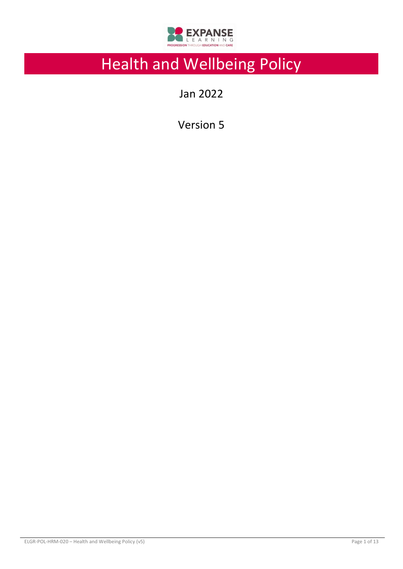

# Health and Wellbeing Policy

Jan 2022

Version 5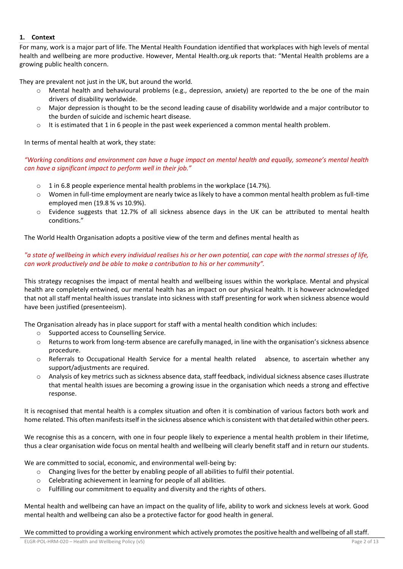# **1. Context**

For many, work is a major part of life. The Mental Health Foundation identified that workplaces with high levels of mental health and wellbeing are more productive. However, Mental Health.org.uk reports that: "Mental Health problems are a growing public health concern.

They are prevalent not just in the UK, but around the world.

- Mental health and behavioural problems (e.g., depression, anxiety) are reported to the be one of the main drivers of disability worldwide.
- o Major depression is thought to be the second leading cause of disability worldwide and a major contributor to the burden of suicide and ischemic heart disease.
- $\circ$  It is estimated that 1 in 6 people in the past week experienced a common mental health problem.

In terms of mental health at work, they state:

*"Working conditions and environment can have a huge impact on mental health and equally, someone's mental health can have a significant impact to perform well in their job."*

- $\circ$  1 in 6.8 people experience mental health problems in the workplace (14.7%).
- o Women in full-time employment are nearly twice as likely to have a common mental health problem as full-time employed men (19.8 % vs 10.9%).
- o Evidence suggests that 12.7% of all sickness absence days in the UK can be attributed to mental health conditions."

The World Health Organisation adopts a positive view of the term and defines mental health as

# *"a state of wellbeing in which every individual realises his or her own potential, can cope with the normal stresses of life, can work productively and be able to make a contribution to his or her community".*

This strategy recognises the impact of mental health and wellbeing issues within the workplace. Mental and physical health are completely entwined, our mental health has an impact on our physical health. It is however acknowledged that not all staff mental health issues translate into sickness with staff presenting for work when sickness absence would have been justified (presenteeism).

The Organisation already has in place support for staff with a mental health condition which includes:

- o Supported access to Counselling Service.
- o Returns to work from long-term absence are carefully managed, in line with the organisation's sickness absence procedure.
- o Referrals to Occupational Health Service for a mental health related absence, to ascertain whether any support/adjustments are required.
- o Analysis of key metrics such as sickness absence data, staff feedback, individual sickness absence cases illustrate that mental health issues are becoming a growing issue in the organisation which needs a strong and effective response.

It is recognised that mental health is a complex situation and often it is combination of various factors both work and home related. This often manifests itself in the sickness absence which is consistent with that detailed within other peers.

We recognise this as a concern, with one in four people likely to experience a mental health problem in their lifetime, thus a clear organisation wide focus on mental health and wellbeing will clearly benefit staff and in return our students.

We are committed to social, economic, and environmental well-being by:

- o Changing lives for the better by enabling people of all abilities to fulfil their potential.
- o Celebrating achievement in learning for people of all abilities.
- $\circ$  Fulfilling our commitment to equality and diversity and the rights of others.

Mental health and wellbeing can have an impact on the quality of life, ability to work and sickness levels at work. Good mental health and wellbeing can also be a protective factor for good health in general.

We committed to providing a working environment which actively promotes the positive health and wellbeing of all staff.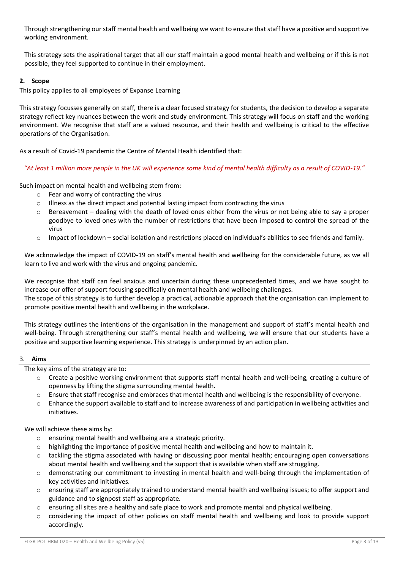Through strengthening our staff mental health and wellbeing we want to ensure that staff have a positive and supportive working environment.

This strategy sets the aspirational target that all our staff maintain a good mental health and wellbeing or if this is not possible, they feel supported to continue in their employment.

# **2. Scope**

This policy applies to all employees of Expanse Learning

This strategy focusses generally on staff, there is a clear focused strategy for students, the decision to develop a separate strategy reflect key nuances between the work and study environment. This strategy will focus on staff and the working environment. We recognise that staff are a valued resource, and their health and wellbeing is critical to the effective operations of the Organisation.

As a result of Covid-19 pandemic the Centre of Mental Health identified that:

*"At least 1 million more people in the UK will experience some kind of mental health difficulty as a result of COVID-19."*

Such impact on mental health and wellbeing stem from:

- o Fear and worry of contracting the virus
- o Illness as the direct impact and potential lasting impact from contracting the virus
- $\circ$  Bereavement dealing with the death of loved ones either from the virus or not being able to say a proper goodbye to loved ones with the number of restrictions that have been imposed to control the spread of the virus
- $\circ$  Impact of lockdown social isolation and restrictions placed on individual's abilities to see friends and family.

We acknowledge the impact of COVID-19 on staff's mental health and wellbeing for the considerable future, as we all learn to live and work with the virus and ongoing pandemic.

We recognise that staff can feel anxious and uncertain during these unprecedented times, and we have sought to increase our offer of support focusing specifically on mental health and wellbeing challenges.

The scope of this strategy is to further develop a practical, actionable approach that the organisation can implement to promote positive mental health and wellbeing in the workplace.

This strategy outlines the intentions of the organisation in the management and support of staff's mental health and well-being. Through strengthening our staff's mental health and wellbeing, we will ensure that our students have a positive and supportive learning experience. This strategy is underpinned by an action plan.

## 3. **Aims**

The key aims of the strategy are to:

- o Create a positive working environment that supports staff mental health and well-being, creating a culture of openness by lifting the stigma surrounding mental health.
- o Ensure that staff recognise and embraces that mental health and wellbeing is the responsibility of everyone.
- o Enhance the support available to staff and to increase awareness of and participation in wellbeing activities and initiatives.

We will achieve these aims by:

- o ensuring mental health and wellbeing are a strategic priority.
- $\circ$  highlighting the importance of positive mental health and wellbeing and how to maintain it.
- $\circ$  tackling the stigma associated with having or discussing poor mental health; encouraging open conversations about mental health and wellbeing and the support that is available when staff are struggling.
- o demonstrating our commitment to investing in mental health and well-being through the implementation of key activities and initiatives.
- o ensuring staff are appropriately trained to understand mental health and wellbeing issues; to offer support and guidance and to signpost staff as appropriate.
- $\circ$  ensuring all sites are a healthy and safe place to work and promote mental and physical wellbeing.
- $\circ$  considering the impact of other policies on staff mental health and wellbeing and look to provide support accordingly.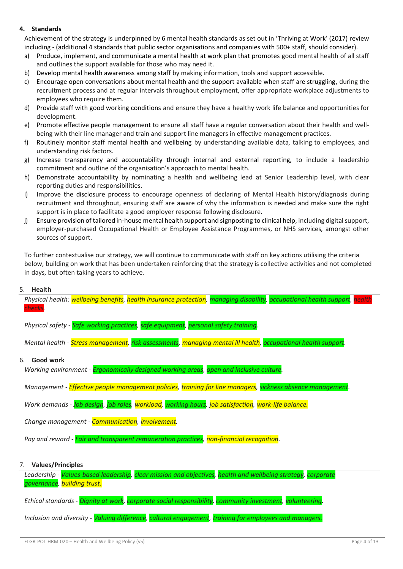# **4. Standards**

Achievement of the strategy is underpinned by 6 mental health standards as set out in 'Thriving at Work' (2017) review including - (additional 4 standards that public sector organisations and companies with 500+ staff, should consider).

- a) Produce, implement, and communicate a mental health at work plan that promotes good mental health of all staff and outlines the support available for those who may need it.
- b) Develop mental health awareness among staff by making information, tools and support accessible.
- c) Encourage open conversations about mental health and the support available when staff are struggling, during the recruitment process and at regular intervals throughout employment, offer appropriate workplace adjustments to employees who require them.
- d) Provide staff with good working conditions and ensure they have a healthy work life balance and opportunities for development.
- e) Promote effective people management to ensure all staff have a regular conversation about their health and wellbeing with their line manager and train and support line managers in effective management practices.
- f) Routinely monitor staff mental health and wellbeing by understanding available data, talking to employees, and understanding risk factors.
- g) Increase transparency and accountability through internal and external reporting, to include a leadership commitment and outline of the organisation's approach to mental health.
- h) Demonstrate accountability by nominating a health and wellbeing lead at Senior Leadership level, with clear reporting duties and responsibilities.
- i) Improve the disclosure process to encourage openness of declaring of Mental Health history/diagnosis during recruitment and throughout, ensuring staff are aware of why the information is needed and make sure the right support is in place to facilitate a good employer response following disclosure.
- j) Ensure provision of tailored in-house mental health support and signposting to clinical help, including digital support, employer-purchased Occupational Health or Employee Assistance Programmes, or NHS services, amongst other sources of support.

To further contextualise our strategy, we will continue to communicate with staff on key actions utilising the criteria below, building on work that has been undertaken reinforcing that the strategy is collective activities and not completed in days, but often taking years to achieve.

## 5. **Health**

*Physical health: wellbeing benefits, health insurance protection, managing disability, occupational health support, health checks.*

*Physical safety - Safe working practices, safe equipment, personal safety training.*

*Mental health - Stress management, risk assessments, managing mental ill health, occupational health support.*

## 6. **Good work**

*Working environment - Ergonomically designed working areas, open and inclusive culture.*

*Management - Effective people management policies, training for line managers, sickness absence management.*

*Work demands - Job design, job roles, workload, working hours, job satisfaction, work-life balance.*

*Change management - Communication, involvement.*

*Pay and reward - Fair and transparent remuneration practices, non-financial recognition.*

## 7. **Values/Principles**

*Leadership - Values-based leadership, clear mission and objectives, health and wellbeing strategy, corporate governance, building trust.*

*Ethical standards - Dignity at work, corporate social responsibility, community investment, volunteering.*

*Inclusion and diversity - Valuing difference, cultural engagement, training for employees and managers.*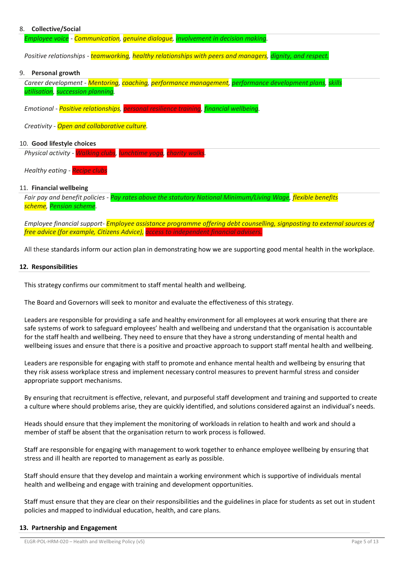## 8. **Collective/Social**

*Employee voice - Communication, genuine dialogue, involvement in decision making.*

*Positive relationships - teamworking, healthy relationships with peers and managers, dignity, and respect.*

#### 9. **Personal growth**

*Career development - Mentoring, coaching, performance management, performance development plans, skills utilisation, succession planning.*

*Emotional - Positive relationships, personal resilience training, financial wellbeing.*

*Creativity - Open and collaborative culture.*

#### 10. **Good lifestyle choices**

*Physical activity - Walking clubs, lunchtime yoga, charity walks.*

*Healthy eating - Recipe clubs*

#### 11. **Financial wellbeing**

*Fair pay and benefit policies - Pay rates above the statutory National Minimum/Living Wage, flexible benefits scheme, Pension scheme.*

*Employee financial support- Employee assistance programme offering debt counselling, signposting to external sources of free advice (for example, Citizens Advice), access to independent financial advisers.*

All these standards inform our action plan in demonstrating how we are supporting good mental health in the workplace.

#### **12. Responsibilities**

This strategy confirms our commitment to staff mental health and wellbeing.

The Board and Governors will seek to monitor and evaluate the effectiveness of this strategy.

Leaders are responsible for providing a safe and healthy environment for all employees at work ensuring that there are safe systems of work to safeguard employees' health and wellbeing and understand that the organisation is accountable for the staff health and wellbeing. They need to ensure that they have a strong understanding of mental health and wellbeing issues and ensure that there is a positive and proactive approach to support staff mental health and wellbeing.

Leaders are responsible for engaging with staff to promote and enhance mental health and wellbeing by ensuring that they risk assess workplace stress and implement necessary control measures to prevent harmful stress and consider appropriate support mechanisms.

By ensuring that recruitment is effective, relevant, and purposeful staff development and training and supported to create a culture where should problems arise, they are quickly identified, and solutions considered against an individual's needs.

Heads should ensure that they implement the monitoring of workloads in relation to health and work and should a member of staff be absent that the organisation return to work process is followed.

Staff are responsible for engaging with management to work together to enhance employee wellbeing by ensuring that stress and ill health are reported to management as early as possible.

Staff should ensure that they develop and maintain a working environment which is supportive of individuals mental health and wellbeing and engage with training and development opportunities.

Staff must ensure that they are clear on their responsibilities and the guidelines in place for students as set out in student policies and mapped to individual education, health, and care plans.

#### **13. Partnership and Engagement**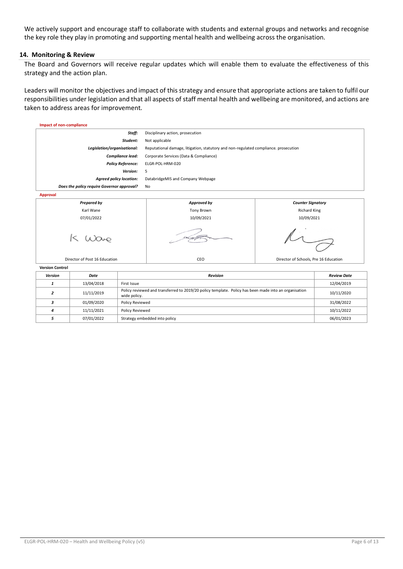We actively support and encourage staff to collaborate with students and external groups and networks and recognise the key role they play in promoting and supporting mental health and wellbeing across the organisation.

#### **14. Monitoring & Review**

The Board and Governors will receive regular updates which will enable them to evaluate the effectiveness of this strategy and the action plan.

Leaders will monitor the objectives and impact of this strategy and ensure that appropriate actions are taken to fulfil our responsibilities under legislation and that all aspects of staff mental health and wellbeing are monitored, and actions are taken to address areas for improvement.

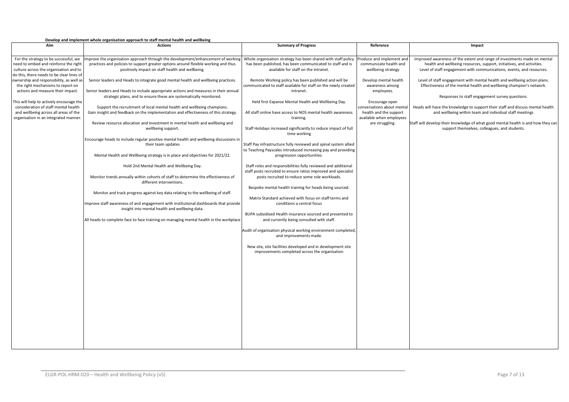#### **Develop and implement whole organisation approach to staff mental health and wellbeing**

| Aim                                                                              | <b>Actions</b>                                                                                                | <b>Summary of Progress</b>                                       | Reference                                            | Impact                                                                            |
|----------------------------------------------------------------------------------|---------------------------------------------------------------------------------------------------------------|------------------------------------------------------------------|------------------------------------------------------|-----------------------------------------------------------------------------------|
|                                                                                  |                                                                                                               |                                                                  |                                                      |                                                                                   |
| For the strategy to be successful, we                                            | mprove the organisation approach through the development/enhancement of working                               | Whole organisation strategy has been shared with staff policy    | Produce and implement and                            | Improved awareness of the extent and range of investments made on mental          |
| need to embed and reinforce the right                                            | practices and policies to support greater options around flexible working and thus                            | has been published, has been communicated to staff and is        | communicate health and                               | health and wellbeing resources, support, initiatives, and activities.             |
| culture across the organisation and to                                           | positively impact on staff health and wellbeing.                                                              | available for staff on the intranet.                             | wellbeing strategy                                   | Level of staff engagement with communications, events, and resources.             |
| do this, there needs to be clear lines of                                        |                                                                                                               |                                                                  |                                                      |                                                                                   |
| ownership and responsibility, as well as                                         | Senior leaders and Heads to integrate good mental health and wellbeing practices.                             | Remote Working policy has been published and will be             | Develop mental health                                | Level of staff engagement with mental health and wellbeing action plans.          |
| the right mechanisms to report on                                                |                                                                                                               | communicated to staff available for staff on the newly created   | awareness among                                      | Effectiveness of the mental health and wellbeing champion's network.              |
| actions and measure their impact.                                                | Senior leaders and Heads to include appropriate actions and measures in their annual                          | intranet.                                                        | employees.                                           |                                                                                   |
|                                                                                  | strategic plans, and to ensure these are systematically monitored.                                            |                                                                  |                                                      | Responses to staff engagement survey questions.                                   |
| This will help to actively encourage the<br>consideration of staff mental health | Support the recruitment of local mental health and wellbeing champions.                                       | Held first Expanse Mental Health and Wellbeing Day.              | Encourage open                                       | Heads will have the knowledge to support their staff and discuss mental health    |
| and wellbeing across all areas of the                                            | Gain insight and feedback on the implementation and effectiveness of this strategy.                           | All staff online have access to NOS mental health awareness      | conversations about mental<br>health and the support | and wellbeing within team and individual staff meetings                           |
| organisation in an integrated manner.                                            |                                                                                                               | training.                                                        | available when employees                             |                                                                                   |
|                                                                                  | Review resource allocation and investment in mental health and wellbeing and                                  |                                                                  | are struggling.                                      | Staff will develop their knowledge of what good mental health is and how they can |
|                                                                                  | wellbeing support.                                                                                            | Staff Holidays increased significantly to reduce impact of full  |                                                      | support themselves, colleagues, and students.                                     |
|                                                                                  |                                                                                                               | time working                                                     |                                                      |                                                                                   |
|                                                                                  | Encourage heads to include regular positive mental health and wellbeing discussions in                        |                                                                  |                                                      |                                                                                   |
|                                                                                  | their team updates                                                                                            | Staff Pay infrastructure fully reviewed and spinal system allied |                                                      |                                                                                   |
|                                                                                  |                                                                                                               | to Teaching Payscales introduced increasing pay and providing    |                                                      |                                                                                   |
|                                                                                  | Mental Health and Wellbeing strategy is in place and objectives for 2021/22.                                  | progression opportunities.                                       |                                                      |                                                                                   |
|                                                                                  |                                                                                                               |                                                                  |                                                      |                                                                                   |
|                                                                                  | Hold 2nd Mental Health and Wellbeing Day.                                                                     | Staff roles and responsibilities fully reviewed and additional   |                                                      |                                                                                   |
|                                                                                  |                                                                                                               | staff posts recruited to ensure ratios improved and specialist   |                                                      |                                                                                   |
|                                                                                  | Monitor trends annually within cohorts of staff to determine the effectiveness of<br>different interventions. | posts recruited to reduce some role workloads.                   |                                                      |                                                                                   |
|                                                                                  |                                                                                                               | Bespoke mental health training for heads being sourced.          |                                                      |                                                                                   |
|                                                                                  | Monitor and track progress against key data relating to the wellbeing of staff.                               |                                                                  |                                                      |                                                                                   |
|                                                                                  |                                                                                                               | Matrix Standard achieved with focus on staff terms and           |                                                      |                                                                                   |
|                                                                                  | Improve staff awareness of and engagement with institutional dashboards that provide                          | conditions a central focus                                       |                                                      |                                                                                   |
|                                                                                  | insight into mental health and wellbeing data.                                                                |                                                                  |                                                      |                                                                                   |
|                                                                                  |                                                                                                               | BUPA subsidised Health insurance sourced and presented to        |                                                      |                                                                                   |
|                                                                                  | All heads to complete face to face training on managing mental health in the workplace                        | and currently being consulted with staff.                        |                                                      |                                                                                   |
|                                                                                  |                                                                                                               |                                                                  |                                                      |                                                                                   |
|                                                                                  |                                                                                                               | Audit of organisation physical working environment completed,    |                                                      |                                                                                   |
|                                                                                  |                                                                                                               | and improvements made.                                           |                                                      |                                                                                   |
|                                                                                  |                                                                                                               | New site, site facilities developed and in development site      |                                                      |                                                                                   |
|                                                                                  |                                                                                                               | improvements completed across the organisation                   |                                                      |                                                                                   |
|                                                                                  |                                                                                                               |                                                                  |                                                      |                                                                                   |
|                                                                                  |                                                                                                               |                                                                  |                                                      |                                                                                   |
|                                                                                  |                                                                                                               |                                                                  |                                                      |                                                                                   |
|                                                                                  |                                                                                                               |                                                                  |                                                      |                                                                                   |
|                                                                                  |                                                                                                               |                                                                  |                                                      |                                                                                   |
|                                                                                  |                                                                                                               |                                                                  |                                                      |                                                                                   |
|                                                                                  |                                                                                                               |                                                                  |                                                      |                                                                                   |
|                                                                                  |                                                                                                               |                                                                  |                                                      |                                                                                   |
|                                                                                  |                                                                                                               |                                                                  |                                                      |                                                                                   |
|                                                                                  |                                                                                                               |                                                                  |                                                      |                                                                                   |
|                                                                                  |                                                                                                               |                                                                  |                                                      |                                                                                   |
|                                                                                  |                                                                                                               |                                                                  |                                                      |                                                                                   |
|                                                                                  |                                                                                                               |                                                                  |                                                      |                                                                                   |
|                                                                                  |                                                                                                               |                                                                  |                                                      |                                                                                   |
|                                                                                  |                                                                                                               |                                                                  |                                                      |                                                                                   |
|                                                                                  |                                                                                                               |                                                                  |                                                      |                                                                                   |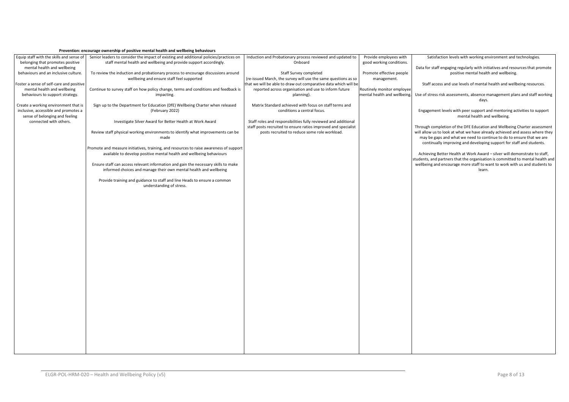#### **Prevention: encourage ownership of positive mental health and wellbeing behaviours**

| Equip staff with the skills and sense of<br>belonging that promotes positive                                   | Senior leaders to consider the impact of existing and additional policies/practices on<br>staff mental health and wellbeing and provide support accordingly. | Induction and Probationary process reviewed and updated to<br>Onboard                                                             | Provide employees with<br>good working conditions. | Satisfaction levels with working environment and technologies.                                                                                                                                                               |
|----------------------------------------------------------------------------------------------------------------|--------------------------------------------------------------------------------------------------------------------------------------------------------------|-----------------------------------------------------------------------------------------------------------------------------------|----------------------------------------------------|------------------------------------------------------------------------------------------------------------------------------------------------------------------------------------------------------------------------------|
| mental health and wellbeing<br>behaviours and an inclusive culture.                                            | To review the induction and probationary process to encourage discussions around                                                                             | Staff Survey completed                                                                                                            | Promote effective people                           | Data for staff engaging regularly with initiatives and resources that promote<br>positive mental health and wellbeing.                                                                                                       |
| Foster a sense of self-care and positive                                                                       | wellbeing and ensure staff feel supported                                                                                                                    | (re-issued March, the survey will use the same questions as so<br>that we will be able to draw out comparative data which will be | management.                                        | Staff access and use levels of mental health and wellbeing resources.                                                                                                                                                        |
| mental health and wellbeing                                                                                    | Continue to survey staff on how policy change, terms and conditions and feedback is                                                                          | reported across organisation and use to inform future                                                                             | Routinely monitor employee                         |                                                                                                                                                                                                                              |
| behaviours to support strategy.                                                                                | impacting.                                                                                                                                                   | planning).                                                                                                                        | mental health and wellbeing.                       | Use of stress risk assessments, absence management plans and staff working<br>days.                                                                                                                                          |
| Create a working environment that is<br>inclusive, accessible and promotes a<br>sense of belonging and feeling | Sign up to the Department for Education (DfE) Wellbeing Charter when released<br>(February 2022)                                                             | Matrix Standard achieved with focus on staff terms and<br>conditions a central focus.                                             |                                                    | Engagement levels with peer support and mentoring activities to support<br>mental health and wellbeing.                                                                                                                      |
| connected with others.                                                                                         | Investigate Silver Award for Better Health at Work Award                                                                                                     | Staff roles and responsibilities fully reviewed and additional<br>staff posts recruited to ensure ratios improved and specialist  |                                                    | Through completion of the DFE Education and Wellbeing Charter assessment                                                                                                                                                     |
|                                                                                                                | Review staff physical working environments to identify what improvements can be<br>made                                                                      | posts recruited to reduce some role workload.                                                                                     |                                                    | will allow us to look at what we have already achieved and assess where they<br>may be gaps and what we need to continue to do to ensure that we are<br>continually improving and developing support for staff and students. |
|                                                                                                                | Promote and measure initiatives, training, and resources to raise awareness of support                                                                       |                                                                                                                                   |                                                    |                                                                                                                                                                                                                              |
|                                                                                                                | available to develop positive mental health and wellbeing behaviours                                                                                         |                                                                                                                                   |                                                    | Achieving Better Health at Work Award - silver will demonstrate to staff,<br>students, and partners that the organisation is committed to mental health and                                                                  |
|                                                                                                                | Ensure staff can access relevant information and gain the necessary skills to make<br>informed choices and manage their own mental health and wellbeing      |                                                                                                                                   |                                                    | wellbeing and encourage more staff to want to work with us and students to<br>learn.                                                                                                                                         |
|                                                                                                                | Provide training and guidance to staff and line Heads to ensure a common<br>understanding of stress.                                                         |                                                                                                                                   |                                                    |                                                                                                                                                                                                                              |
|                                                                                                                |                                                                                                                                                              |                                                                                                                                   |                                                    |                                                                                                                                                                                                                              |
|                                                                                                                |                                                                                                                                                              |                                                                                                                                   |                                                    |                                                                                                                                                                                                                              |
|                                                                                                                |                                                                                                                                                              |                                                                                                                                   |                                                    |                                                                                                                                                                                                                              |
|                                                                                                                |                                                                                                                                                              |                                                                                                                                   |                                                    |                                                                                                                                                                                                                              |
|                                                                                                                |                                                                                                                                                              |                                                                                                                                   |                                                    |                                                                                                                                                                                                                              |
|                                                                                                                |                                                                                                                                                              |                                                                                                                                   |                                                    |                                                                                                                                                                                                                              |
|                                                                                                                |                                                                                                                                                              |                                                                                                                                   |                                                    |                                                                                                                                                                                                                              |
|                                                                                                                |                                                                                                                                                              |                                                                                                                                   |                                                    |                                                                                                                                                                                                                              |
|                                                                                                                |                                                                                                                                                              |                                                                                                                                   |                                                    |                                                                                                                                                                                                                              |
|                                                                                                                |                                                                                                                                                              |                                                                                                                                   |                                                    |                                                                                                                                                                                                                              |
|                                                                                                                |                                                                                                                                                              |                                                                                                                                   |                                                    |                                                                                                                                                                                                                              |
|                                                                                                                |                                                                                                                                                              |                                                                                                                                   |                                                    |                                                                                                                                                                                                                              |
|                                                                                                                |                                                                                                                                                              |                                                                                                                                   |                                                    |                                                                                                                                                                                                                              |
|                                                                                                                |                                                                                                                                                              |                                                                                                                                   |                                                    |                                                                                                                                                                                                                              |
|                                                                                                                |                                                                                                                                                              |                                                                                                                                   |                                                    |                                                                                                                                                                                                                              |
|                                                                                                                |                                                                                                                                                              |                                                                                                                                   |                                                    |                                                                                                                                                                                                                              |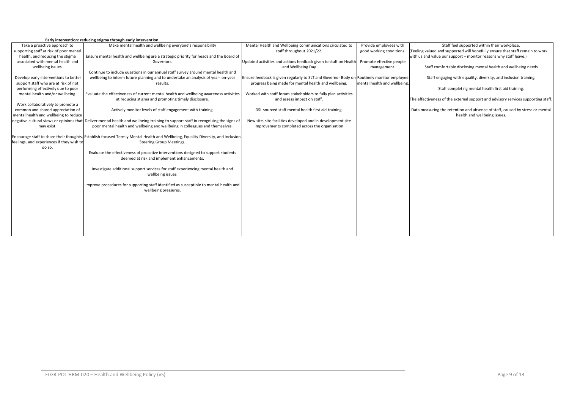|                                           | Early intervention: reducing stigma through early intervention                                                                     |                                                                                           |                              |                                                                                   |
|-------------------------------------------|------------------------------------------------------------------------------------------------------------------------------------|-------------------------------------------------------------------------------------------|------------------------------|-----------------------------------------------------------------------------------|
| Take a proactive approach to              | Make mental health and wellbeing everyone's responsibility                                                                         | Mental Health and Wellbeing communications circulated to                                  | Provide employees with       | Staff feel supported within their workplace.                                      |
| supporting staff at risk of poor mental   |                                                                                                                                    | staff throughout 2021/22.                                                                 | good working conditions.     | (Feeling valued and supported will hopefully ensure that staff remain to work     |
| health, and reducing the stigma           | Ensure mental health and wellbeing are a strategic priority for heads and the Board of                                             |                                                                                           |                              | with us and value our support - monitor reasons why staff leave.)                 |
| associated with mental health and         | Governors.                                                                                                                         | Updated activities and actions feedback given to staff on Health                          | Promote effective people     |                                                                                   |
| wellbeing issues.                         |                                                                                                                                    | and Wellbeing Day                                                                         | management.                  | Staff comfortable disclosing mental health and wellbeing needs                    |
|                                           | Continue to include questions in our annual staff survey around mental health and                                                  |                                                                                           |                              |                                                                                   |
| Develop early interventions to better     | wellbeing to inform future planning and to undertake an analysis of year- on-year                                                  | Ensure feedback is given regularly to SLT and Governor Body on Routinely monitor employee |                              | Staff engaging with equality, diversity, and inclusion training.                  |
| support staff who are at risk of not      | results.                                                                                                                           | progress being made for mental health and wellbeing.                                      | mental health and wellbeing. |                                                                                   |
| performing effectively due to poor        |                                                                                                                                    |                                                                                           |                              | Staff completing mental health first aid training.                                |
| mental health and/or wellbeing.           | Evaluate the effectiveness of current mental health and wellbeing awareness activities                                             | Worked with staff forum stakeholders to fully plan activities                             |                              |                                                                                   |
|                                           | at reducing stigma and promoting timely disclosure.                                                                                | and assess impact on staff.                                                               |                              | The effectiveness of the external support and advisory services supporting staff. |
| Work collaboratively to promote a         |                                                                                                                                    |                                                                                           |                              |                                                                                   |
| common and shared appreciation of         | Actively monitor levels of staff engagement with training.                                                                         | DSL sourced staff mental health first aid training.                                       |                              | Data measuring the retention and absence of staff, caused by stress or mental     |
| mental health and wellbeing to reduce     |                                                                                                                                    |                                                                                           |                              | health and wellbeing issues.                                                      |
|                                           | negative cultural views or opinions that Deliver mental health and wellbeing training to support staff in recognising the signs of | New site, site facilities developed and in development site                               |                              |                                                                                   |
| may exist.                                | poor mental health and wellbeing and wellbeing in colleagues and themselves.                                                       | improvements completed across the organisation                                            |                              |                                                                                   |
|                                           |                                                                                                                                    |                                                                                           |                              |                                                                                   |
|                                           | Encourage staff to share their thoughts, Establish focused Termly Mental Health and Wellbeing, Equality Diversity, and Inclusion   |                                                                                           |                              |                                                                                   |
| feelings, and experiences if they wish to | <b>Steering Group Meetings.</b>                                                                                                    |                                                                                           |                              |                                                                                   |
| do so.                                    |                                                                                                                                    |                                                                                           |                              |                                                                                   |
|                                           | Evaluate the effectiveness of proactive interventions designed to support students                                                 |                                                                                           |                              |                                                                                   |
|                                           | deemed at risk and implement enhancements.                                                                                         |                                                                                           |                              |                                                                                   |
|                                           | Investigate additional support services for staff experiencing mental health and                                                   |                                                                                           |                              |                                                                                   |
|                                           | wellbeing issues.                                                                                                                  |                                                                                           |                              |                                                                                   |
|                                           |                                                                                                                                    |                                                                                           |                              |                                                                                   |
|                                           | Improve procedures for supporting staff identified as susceptible to mental health and                                             |                                                                                           |                              |                                                                                   |
|                                           | wellbeing pressures.                                                                                                               |                                                                                           |                              |                                                                                   |
|                                           |                                                                                                                                    |                                                                                           |                              |                                                                                   |
|                                           |                                                                                                                                    |                                                                                           |                              |                                                                                   |
|                                           |                                                                                                                                    |                                                                                           |                              |                                                                                   |
|                                           |                                                                                                                                    |                                                                                           |                              |                                                                                   |
|                                           |                                                                                                                                    |                                                                                           |                              |                                                                                   |
|                                           |                                                                                                                                    |                                                                                           |                              |                                                                                   |
|                                           |                                                                                                                                    |                                                                                           |                              |                                                                                   |
|                                           |                                                                                                                                    |                                                                                           |                              |                                                                                   |
|                                           |                                                                                                                                    |                                                                                           |                              |                                                                                   |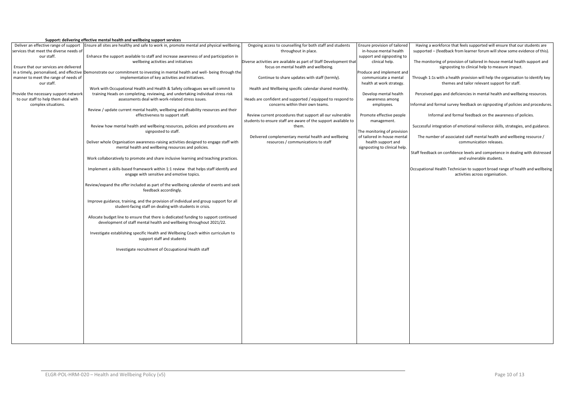#### **Support: delivering effective mental health and wellbeing support services**

|                                          | Support: delivering effective mental health and wendeling support services                            |                                                                    |                               |                                                                                  |
|------------------------------------------|-------------------------------------------------------------------------------------------------------|--------------------------------------------------------------------|-------------------------------|----------------------------------------------------------------------------------|
| Deliver an effective range of support    | Ensure all sites are healthy and safe to work in, promote mental and physical wellbeing.              | Ongoing access to counselling for both staff and students          | Ensure provision of tailored  | Having a workforce that feels supported will ensure that our students are        |
| services that meet the diverse needs of  |                                                                                                       | throughout in place.                                               | in-house mental health        | supported - (feedback from learner forum will show some evidence of this).       |
| our staff.                               | Enhance the support available to staff and increase awareness of and participation in                 |                                                                    | support and signposting to    |                                                                                  |
|                                          | wellbeing activities and initiatives                                                                  | Diverse activities are available as part of Staff Development that | clinical help.                | The monitoring of provision of tailored in-house mental health support and       |
| Ensure that our services are delivered   |                                                                                                       | focus on mental health and wellbeing.                              |                               | signposting to clinical help to measure impact.                                  |
| in a timely, personalised, and effective | Demonstrate our commitment to investing in mental health and well- being through the                  |                                                                    | Produce and implement and     |                                                                                  |
| manner to meet the range of needs of     | implementation of key activities and initiatives.                                                     | Continue to share updates with staff (termly).                     | communicate a mental          | Through 1:1s with a health provision will help the organisation to identify key  |
| our staff.                               |                                                                                                       |                                                                    | health at work strategy.      | themes and tailor relevant support for staff.                                    |
|                                          | Work with Occupational Health and Health & Safety colleagues we will commit to                        | Health and Wellbeing specific calendar shared monthly.             |                               |                                                                                  |
| Provide the necessary support networ     | training Heads on completing, reviewing, and undertaking individual stress risk                       |                                                                    | Develop mental health         | Perceived gaps and deficiencies in mental health and wellbeing resources.        |
| to our staff to help them deal with      | assessments deal with work-related stress issues.                                                     | Heads are confident and supported / equipped to respond to         | awareness among               |                                                                                  |
| complex situations.                      |                                                                                                       | concerns within their own teams.                                   | employees.                    | Informal and formal survey feedback on signposting of policies and procedures.   |
|                                          | Review / update current mental health, wellbeing and disability resources and their                   |                                                                    |                               |                                                                                  |
|                                          | effectiveness to support staff.                                                                       | Review current procedures that support all our vulnerable          | Promote effective people      | Informal and formal feedback on the awareness of policies.                       |
|                                          |                                                                                                       | students to ensure staff are aware of the support available to     | management.                   |                                                                                  |
|                                          | Review how mental health and wellbeing resources, policies and procedures are<br>signposted to staff. | them.                                                              | The monitoring of provision   | Successful integration of emotional resilience skills, strategies, and guidance. |
|                                          |                                                                                                       | Delivered complementary mental health and wellbeing                | of tailored in-house mental   | The number of associated staff mental health and wellbeing resource /            |
|                                          | Deliver whole Organisation awareness-raising activities designed to engage staff with                 | resources / communications to staff                                | health support and            | communication releases.                                                          |
|                                          | mental health and wellbeing resources and policies.                                                   |                                                                    | signposting to clinical help. |                                                                                  |
|                                          |                                                                                                       |                                                                    |                               | Staff feedback on confidence levels and competence in dealing with distressed    |
|                                          | Work collaboratively to promote and share inclusive learning and teaching practices.                  |                                                                    |                               | and vulnerable students.                                                         |
|                                          |                                                                                                       |                                                                    |                               |                                                                                  |
|                                          | Implement a skills-based framework within 1:1 review that helps staff identify and                    |                                                                    |                               | Occupational Health Technician to support broad range of health and wellbeing    |
|                                          | engage with sensitive and emotive topics.                                                             |                                                                    |                               | activities across organisation.                                                  |
|                                          |                                                                                                       |                                                                    |                               |                                                                                  |
|                                          | Review/expand the offer included as part of the wellbeing calendar of events and seek                 |                                                                    |                               |                                                                                  |
|                                          | feedback accordingly.                                                                                 |                                                                    |                               |                                                                                  |
|                                          |                                                                                                       |                                                                    |                               |                                                                                  |
|                                          | Improve guidance, training, and the provision of individual and group support for all                 |                                                                    |                               |                                                                                  |
|                                          | student-facing staff on dealing with students in crisis.                                              |                                                                    |                               |                                                                                  |
|                                          |                                                                                                       |                                                                    |                               |                                                                                  |
|                                          | Allocate budget line to ensure that there is dedicated funding to support continued                   |                                                                    |                               |                                                                                  |
|                                          | development of staff mental health and wellbeing throughout 2021/22.                                  |                                                                    |                               |                                                                                  |
|                                          |                                                                                                       |                                                                    |                               |                                                                                  |
|                                          | Investigate establishing specific Health and Wellbeing Coach within curriculum to                     |                                                                    |                               |                                                                                  |
|                                          | support staff and students                                                                            |                                                                    |                               |                                                                                  |
|                                          |                                                                                                       |                                                                    |                               |                                                                                  |
|                                          | Investigate recruitment of Occupational Health staff                                                  |                                                                    |                               |                                                                                  |
|                                          |                                                                                                       |                                                                    |                               |                                                                                  |
|                                          |                                                                                                       |                                                                    |                               |                                                                                  |
|                                          |                                                                                                       |                                                                    |                               |                                                                                  |
|                                          |                                                                                                       |                                                                    |                               |                                                                                  |
|                                          |                                                                                                       |                                                                    |                               |                                                                                  |
|                                          |                                                                                                       |                                                                    |                               |                                                                                  |
|                                          |                                                                                                       |                                                                    |                               |                                                                                  |
|                                          |                                                                                                       |                                                                    |                               |                                                                                  |
|                                          |                                                                                                       |                                                                    |                               |                                                                                  |
|                                          |                                                                                                       |                                                                    |                               |                                                                                  |
|                                          |                                                                                                       |                                                                    |                               |                                                                                  |
|                                          |                                                                                                       |                                                                    |                               |                                                                                  |
|                                          |                                                                                                       |                                                                    |                               |                                                                                  |
|                                          |                                                                                                       |                                                                    |                               |                                                                                  |
|                                          |                                                                                                       |                                                                    |                               |                                                                                  |
|                                          |                                                                                                       |                                                                    |                               |                                                                                  |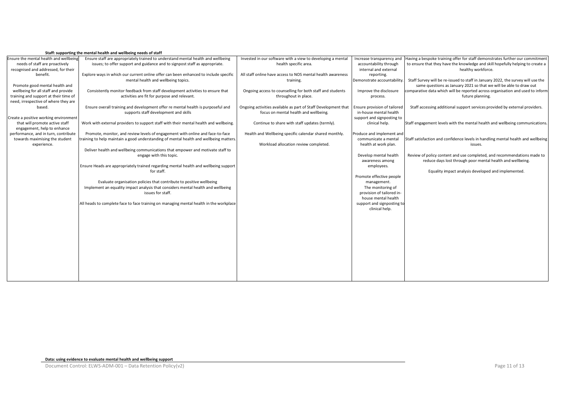|  | Staff: supporting the mental health and wellbeing needs of staff |
|--|------------------------------------------------------------------|
|  |                                                                  |

| Ensure the mental health and wellbeing | Ensure staff are appropriately trained to understand mental health and wellbeing       | Invested in our software with a view to developing a mental    | Increase transparency and    | Having a bespoke training offer for staff demonstrates further our commitment    |
|----------------------------------------|----------------------------------------------------------------------------------------|----------------------------------------------------------------|------------------------------|----------------------------------------------------------------------------------|
| needs of staff are proactively         | issues; to offer support and guidance and to signpost staff as appropriate.            | health specific area.                                          | accountability through       | to ensure that they have the knowledge and skill hopefully helping to create a   |
| recognised and addressed, for their    |                                                                                        |                                                                | internal and external        | healthy workforce.                                                               |
| benefit.                               | Explore ways in which our current online offer can been enhanced to include specific   | All staff online have access to NOS mental health awareness    | reporting.                   |                                                                                  |
|                                        | mental health and wellbeing topics.                                                    | training.                                                      | Demonstrate accountability   | Staff Survey will be re-issued to staff in January 2022, the survey will use the |
| Promote good mental health and         |                                                                                        |                                                                |                              | same questions as January 2021 so that we will be able to draw out               |
| wellbeing for all staff and provide    | Consistently monitor feedback from staff development activities to ensure that         | Ongoing access to counselling for both staff and students      | Improve the disclosure       | comparative data which will be reported across organisation and used to inform   |
| training and support at their time of  | activities are fit for purpose and relevant.                                           | throughout in place.                                           | process.                     | future planning.                                                                 |
| need, irrespective of where they are   |                                                                                        |                                                                |                              |                                                                                  |
| based.                                 | Ensure overall training and development offer re mental health is purposeful and       | Ongoing activities available as part of Staff Development that | Ensure provision of tailored | Staff accessing additional support services provided by external providers.      |
|                                        | supports staff development and skills                                                  | focus on mental health and wellbeing.                          | in-house mental health       |                                                                                  |
| Create a positive working environment  |                                                                                        |                                                                | support and signposting to   |                                                                                  |
| that will promote active staff         | Work with external providers to support staff with their mental health and wellbeing.  | Continue to share with staff updates (termly).                 | clinical help.               | Staff engagement levels with the mental health and wellbeing communications.     |
| engagement, help to enhance            |                                                                                        |                                                                |                              |                                                                                  |
| performance, and in turn, contribute   | Promote, monitor, and review levels of engagement with online and face-to-face         | Health and Wellbeing specific calendar shared monthly.         | Produce and implement and    |                                                                                  |
| towards maximising the student         | training to help maintain a good understanding of mental health and wellbeing matters. |                                                                | communicate a mental         | Staff satisfaction and confidence levels in handling mental health and wellbeing |
| experience.                            |                                                                                        | Workload allocation review completed.                          | health at work plan.         | issues.                                                                          |
|                                        | Deliver health and wellbeing communications that empower and motivate staff to         |                                                                |                              |                                                                                  |
|                                        | engage with this topic.                                                                |                                                                | Develop mental health        | Review of policy content and use completed, and recommendations made to          |
|                                        |                                                                                        |                                                                | awareness among              | reduce days lost through poor mental health and wellbeing.                       |
|                                        | Ensure Heads are appropriately trained regarding mental health and wellbeing support   |                                                                | employees.                   |                                                                                  |
|                                        | for staff.                                                                             |                                                                |                              | Equality impact analysis developed and implemented.                              |
|                                        |                                                                                        |                                                                | Promote effective people     |                                                                                  |
|                                        | Evaluate organisation policies that contribute to positive wellbeing                   |                                                                | management.                  |                                                                                  |
|                                        | Implement an equality impact analysis that considers mental health and wellbeing       |                                                                | The monitoring of            |                                                                                  |
|                                        | issues for staff.                                                                      |                                                                | provision of tailored in-    |                                                                                  |
|                                        |                                                                                        |                                                                | house mental health          |                                                                                  |
|                                        | All heads to complete face to face training on managing mental health in the workplace |                                                                | support and signposting to   |                                                                                  |
|                                        |                                                                                        |                                                                | clinical help.               |                                                                                  |
|                                        |                                                                                        |                                                                |                              |                                                                                  |
|                                        |                                                                                        |                                                                |                              |                                                                                  |
|                                        |                                                                                        |                                                                |                              |                                                                                  |
|                                        |                                                                                        |                                                                |                              |                                                                                  |
|                                        |                                                                                        |                                                                |                              |                                                                                  |
|                                        |                                                                                        |                                                                |                              |                                                                                  |
|                                        |                                                                                        |                                                                |                              |                                                                                  |
|                                        |                                                                                        |                                                                |                              |                                                                                  |
|                                        |                                                                                        |                                                                |                              |                                                                                  |
|                                        |                                                                                        |                                                                |                              |                                                                                  |
|                                        |                                                                                        |                                                                |                              |                                                                                  |
|                                        |                                                                                        |                                                                |                              |                                                                                  |
|                                        |                                                                                        |                                                                |                              |                                                                                  |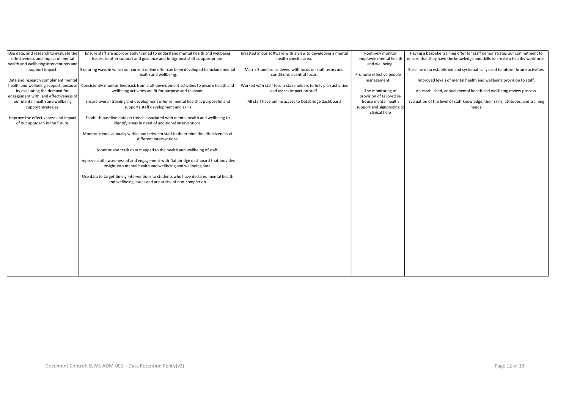| Use data, and research to evaluate the | Ensure staff are appropriately trained to understand mental health and wellbeing      | Invested in our software with a view to developing a mental   | Routinely monitor          | Having a bespoke training offer for staff demonstrates our commitment to          |
|----------------------------------------|---------------------------------------------------------------------------------------|---------------------------------------------------------------|----------------------------|-----------------------------------------------------------------------------------|
| effectiveness and impact of mental     | issues; to offer support and guidance and to signpost staff as appropriate.           | health specific area.                                         | employee mental health     | ensure that they have the knowledge and skills to create a healthy workforce.     |
| health and wellbeing interventions and |                                                                                       |                                                               | and wellbeing.             |                                                                                   |
| support impact                         | Exploring ways in which our current online offer can been developed to include mental | Matrix Standard achieved with focus on staff terms and        |                            | Baseline data established and systematically used to inform future activities.    |
|                                        | health and wellbeing.                                                                 | conditions a central focus.                                   | Promote effective people   |                                                                                   |
| Data and research compliment mental    |                                                                                       |                                                               | management.                | Improved levels of mental health and wellbeing provision to staff.                |
| health and wellbeing support, because  | Consistently monitor feedback from staff development activities to ensure health and  | Worked with staff forum stakeholders to fully plan activities |                            |                                                                                   |
| by evaluating the demand for,          | wellbeing activities are fit for purpose and relevant.                                | and assess impact on staff.                                   | The monitoring of          | An established, annual mental health and wellbeing review process.                |
| engagement with, and effectiveness of  |                                                                                       |                                                               | provision of tailored in-  |                                                                                   |
| our mental health and wellbeing        | Ensure overall training and development offer re mental health is purposeful and      | All staff have online access to Databridge dashboard          | house mental health        | Evaluation of the level of staff knowledge, their skills, attitudes, and training |
| support strategies.                    | supports staff development and skills                                                 |                                                               | support and signposting to | needs.                                                                            |
|                                        |                                                                                       |                                                               | clinical help              |                                                                                   |
| Improve the effectiveness and impact   | Establish baseline data on trends associated with mental health and wellbeing to      |                                                               |                            |                                                                                   |
| of our approach in the future.         | identify areas in need of additional interventions.                                   |                                                               |                            |                                                                                   |
|                                        |                                                                                       |                                                               |                            |                                                                                   |
|                                        | Monitor trends annually within and between staff to determine the effectiveness of    |                                                               |                            |                                                                                   |
|                                        | different interventions.                                                              |                                                               |                            |                                                                                   |
|                                        |                                                                                       |                                                               |                            |                                                                                   |
|                                        | Monitor and track data mapped to the health and wellbeing of staff.                   |                                                               |                            |                                                                                   |
|                                        |                                                                                       |                                                               |                            |                                                                                   |
|                                        | Improve staff awareness of and engagement with Databridge dashboard that provides     |                                                               |                            |                                                                                   |
|                                        | insight into mental health and wellbeing and wellbeing data.                          |                                                               |                            |                                                                                   |
|                                        |                                                                                       |                                                               |                            |                                                                                   |
|                                        | Use data to target timely interventions to students who have declared mental health   |                                                               |                            |                                                                                   |
|                                        | and wellbeing issues and are at risk of non-completion.                               |                                                               |                            |                                                                                   |
|                                        |                                                                                       |                                                               |                            |                                                                                   |
|                                        |                                                                                       |                                                               |                            |                                                                                   |
|                                        |                                                                                       |                                                               |                            |                                                                                   |
|                                        |                                                                                       |                                                               |                            |                                                                                   |
|                                        |                                                                                       |                                                               |                            |                                                                                   |
|                                        |                                                                                       |                                                               |                            |                                                                                   |
|                                        |                                                                                       |                                                               |                            |                                                                                   |
|                                        |                                                                                       |                                                               |                            |                                                                                   |
|                                        |                                                                                       |                                                               |                            |                                                                                   |
|                                        |                                                                                       |                                                               |                            |                                                                                   |
|                                        |                                                                                       |                                                               |                            |                                                                                   |
|                                        |                                                                                       |                                                               |                            |                                                                                   |
|                                        |                                                                                       |                                                               |                            |                                                                                   |
|                                        |                                                                                       |                                                               |                            |                                                                                   |
|                                        |                                                                                       |                                                               |                            |                                                                                   |
|                                        |                                                                                       |                                                               |                            |                                                                                   |
|                                        |                                                                                       |                                                               |                            |                                                                                   |